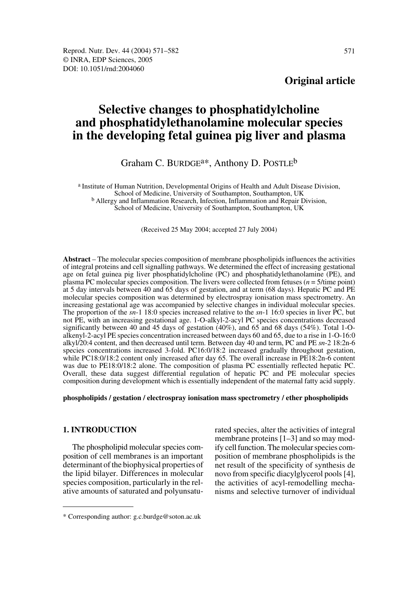# **Selective changes to phosphatidylcholine and phosphatidylethanolamine molecular species in the developing fetal guinea pig liver and plasma**

## Graham C. BURDGE<sup>a\*</sup>, Anthony D. POSTLE<sup>b</sup>

a Institute of Human Nutrition, Developmental Origins of Health and Adult Disease Division, School of Medicine, University of Southampton, Southampton, UK b Allergy and Inflammation Research, Infection, Inflammation and Repair Division, School of Medicine, University of Southampton, Southampton, UK

(Received 25 May 2004; accepted 27 July 2004)

**Abstract** – The molecular species composition of membrane phospholipids influences the activities of integral proteins and cell signalling pathways. We determined the effect of increasing gestational age on fetal guinea pig liver phosphatidylcholine (PC) and phosphatidylethanolamine (PE), and plasma PC molecular species composition. The livers were collected from fetuses (*n* = 5/time point) at 5 day intervals between 40 and 65 days of gestation, and at term (68 days). Hepatic PC and PE molecular species composition was determined by electrospray ionisation mass spectrometry. An increasing gestational age was accompanied by selective changes in individual molecular species. The proportion of the *sn*-1 18:0 species increased relative to the *sn*-1 16:0 species in liver PC, but not PE, with an increasing gestational age. 1-O-alkyl-2-acyl PC species concentrations decreased significantly between 40 and 45 days of gestation (40%), and 65 and 68 days (54%). Total 1-Oalkenyl-2-acyl PE species concentration increased between days 60 and 65, due to a rise in 1-O-16:0 alkyl/20:4 content, and then decreased until term. Between day 40 and term, PC and PE *sn*-2 18:2n-6 species concentrations increased 3-fold. PC16:0/18:2 increased gradually throughout gestation, while PC18:0/18:2 content only increased after day 65. The overall increase in PE18:2n-6 content was due to PE18:0/18:2 alone. The composition of plasma PC essentially reflected hepatic PC. Overall, these data suggest differential regulation of hepatic PC and PE molecular species composition during development which is essentially independent of the maternal fatty acid supply.

#### **phospholipids / gestation / electrospray ionisation mass spectrometry / ether phospholipids**

## **1. INTRODUCTION**

The phospholipid molecular species composition of cell membranes is an important determinant of the biophysical properties of the lipid bilayer. Differences in molecular species composition, particularly in the relative amounts of saturated and polyunsaturated species, alter the activities of integral membrane proteins [1–3] and so may modify cell function. The molecular species composition of membrane phospholipids is the net result of the specificity of synthesis de novo from specific diacylglycerol pools [4], the activities of acyl-remodelling mechanisms and selective turnover of individual

<sup>\*</sup> Corresponding author: g.c.burdge@soton.ac.uk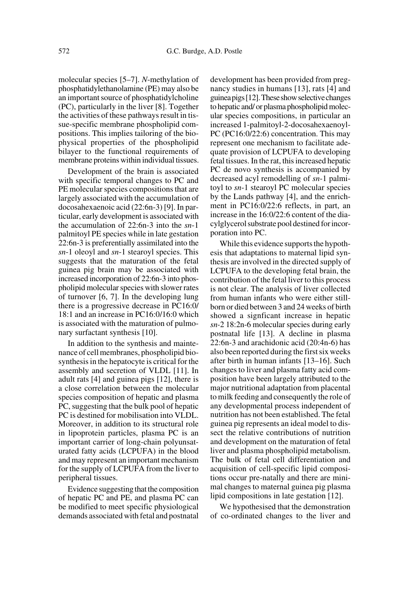molecular species [5–7]. *N*-methylation of phosphatidylethanolamine (PE) may also be an important source of phosphatidylcholine (PC), particularly in the liver [8]. Together the activities of these pathways result in tissue-specific membrane phospholipid compositions. This implies tailoring of the biophysical properties of the phospholipid bilayer to the functional requirements of membrane proteins within individual tissues.

Development of the brain is associated with specific temporal changes to PC and PE molecular species compositions that are largely associated with the accumulation of docosahexaenoic acid (22:6n-3) [9]. In particular, early development is associated with the accumulation of 22:6n-3 into the *sn*-1 palmitoyl PE species while in late gestation 22:6n-3 is preferentially assimilated into the *sn*-1 oleoyl and *sn*-1 stearoyl species. This suggests that the maturation of the fetal guinea pig brain may be associated with increased incorporation of 22:6n-3 into phospholipid molecular species with slower rates of turnover [6, 7]. In the developing lung there is a progressive decrease in PC16:0/ 18:1 and an increase in PC16:0/16:0 which is associated with the maturation of pulmonary surfactant synthesis [10].

In addition to the synthesis and maintenance of cell membranes, phospholipid biosynthesis in the hepatocyte is critical for the assembly and secretion of VLDL [11]. In adult rats [4] and guinea pigs [12], there is a close correlation between the molecular species composition of hepatic and plasma PC, suggesting that the bulk pool of hepatic PC is destined for mobilisation into VLDL. Moreover, in addition to its structural role in lipoprotein particles, plasma PC is an important carrier of long-chain polyunsaturated fatty acids (LCPUFA) in the blood and may represent an important mechanism for the supply of LCPUFA from the liver to peripheral tissues.

Evidence suggesting that the composition of hepatic PC and PE, and plasma PC can be modified to meet specific physiological demands associated with fetal and postnatal

development has been provided from pregnancy studies in humans [13], rats [4] and guinea pigs [12]. These show selective changes to hepatic and/ or plasma phospholipid molecular species compositions, in particular an increased 1-palmitoyl-2-docosahexaenoyl-PC (PC16:0/22:6) concentration. This may represent one mechanism to facilitate adequate provision of LCPUFA to developing fetal tissues. In the rat, this increased hepatic PC de novo synthesis is accompanied by decreased acyl remodelling of *sn*-1 palmitoyl to *sn*-1 stearoyl PC molecular species by the Lands pathway [4], and the enrichment in PC16:0/22:6 reflects, in part, an increase in the 16:0/22:6 content of the diacylglycerol substrate pool destined for incorporation into PC.

While this evidence supports the hypothesis that adaptations to maternal lipid synthesis are involved in the directed supply of LCPUFA to the developing fetal brain, the contribution of the fetal liver to this process is not clear. The analysis of liver collected from human infants who were either stillborn or died between 3 and 24 weeks of birth showed a signficant increase in hepatic *sn-*2 18:2n-6 molecular species during early postnatal life [13]. A decline in plasma 22:6n-3 and arachidonic acid (20:4n-6) has also been reported during the first six weeks after birth in human infants [13–16]. Such changes to liver and plasma fatty acid composition have been largely attributed to the major nutritional adaptation from placental to milk feeding and consequently the role of any developmental process independent of nutrition has not been established. The fetal guinea pig represents an ideal model to dissect the relative contributions of nutrition and development on the maturation of fetal liver and plasma phospholipid metabolism. The bulk of fetal cell differentiation and acquisition of cell-specific lipid compositions occur pre-natally and there are minimal changes to maternal guinea pig plasma lipid compositions in late gestation [12].

We hypothesised that the demonstration of co-ordinated changes to the liver and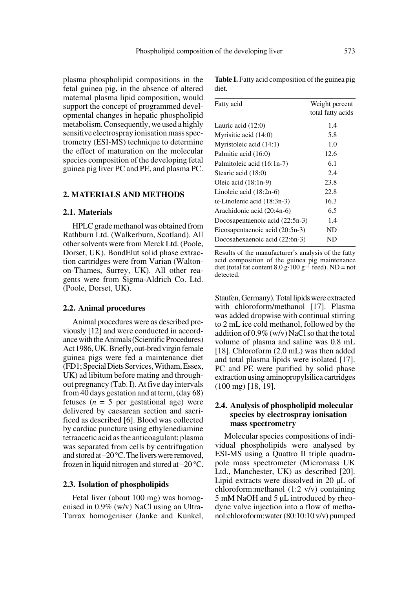plasma phospholipid compositions in the fetal guinea pig, in the absence of altered maternal plasma lipid composition, would support the concept of programmed developmental changes in hepatic phospholipid metabolism. Consequently, we used a highly sensitive electrospray ionisation mass spectrometry (ESI-MS) technique to determine the effect of maturation on the molecular species composition of the developing fetal guinea pig liver PC and PE, and plasma PC.

## **2. MATERIALS AND METHODS**

#### **2.1. Materials**

HPLC grade methanol was obtained from Rathburn Ltd. (Walkerburn, Scotland). All other solvents were from Merck Ltd. (Poole, Dorset, UK). BondElut solid phase extraction cartridges were from Varian (Waltonon-Thames, Surrey, UK). All other reagents were from Sigma-Aldrich Co. Ltd. (Poole, Dorset, UK).

#### **2.2. Animal procedures**

Animal procedures were as described previously [12] and were conducted in accordance with the Animals (Scientific Procedures) Act 1986, UK. Briefly, out-bred virgin female guinea pigs were fed a maintenance diet (FD1; Special Diets Services, Witham, Essex, UK) ad libitum before mating and throughout pregnancy (Tab. I). At five day intervals from 40 days gestation and at term, (day 68) fetuses ( $n = 5$  per gestational age) were delivered by caesarean section and sacrificed as described [6]. Blood was collected by cardiac puncture using ethylenediamine tetraacetic acid as the anticoagulant; plasma was separated from cells by centrifugation and stored at –20°C. The livers were removed, frozen in liquid nitrogen and stored at –20°C.

#### **2.3. Isolation of phospholipids**

Fetal liver (about 100 mg) was homogenised in 0.9% (w/v) NaCl using an Ultra-Turrax homogeniser (Janke and Kunkel,

| Fatty acid                         | Weight percent<br>total fatty acids |
|------------------------------------|-------------------------------------|
| Lauric acid $(12:0)$               | 1.4                                 |
| Myrisitic acid (14:0)              | 5.8                                 |
| Myristoleic acid (14:1)            | 1.0                                 |
| Palmitic acid (16:0)               | 12.6                                |
| Palmitoleic acid (16:1n-7)         | 6.1                                 |
| Stearic acid (18:0)                | 2.4                                 |
| Oleic acid $(18:1n-9)$             | 23.8                                |
| Linoleic acid $(18:2n-6)$          | 22.8                                |
| $\alpha$ -Linolenic acid (18:3n-3) | 16.3                                |
| Arachidonic acid (20:4n-6)         | 6.5                                 |
| Docosapentaenoic acid (22:5n-3)    | 1.4                                 |
| Eicosapentaenoic acid (20:5n-3)    | ND                                  |
| Docosahexaenoic acid (22:6n-3)     | ND                                  |

**Table I.** Fatty acid composition of the guinea pig diet.

Results of the manufacturer's analysis of the fatty acid composition of the guinea pig maintenance diet (total fat content  $8.0 \text{ g} \cdot 100 \text{ g}^{-1}$  feed). ND = not detected.

Staufen, Germany). Total lipids were extracted with chloroform/methanol [17]. Plasma was added dropwise with continual stirring to 2 mL ice cold methanol, followed by the addition of 0.9% (w/v) NaCl so that the total volume of plasma and saline was 0.8 mL [18]. Chloroform (2.0 mL) was then added and total plasma lipids were isolated [17]. PC and PE were purified by solid phase extraction using aminopropylsilica cartridges (100 mg) [18, 19].

## **2.4. Analysis of phospholipid molecular species by electrospray ionisation mass spectrometry**

Molecular species compositions of individual phospholipids were analysed by ESI-MS using a Quattro II triple quadrupole mass spectrometer (Micromass UK Ltd., Manchester, UK) as described [20]. Lipid extracts were dissolved in 20 µL of chloroform:methanol (1:2 v/v) containing 5 mM NaOH and 5 µL introduced by rheodyne valve injection into a flow of methanol:chloroform:water (80:10:10 v/v) pumped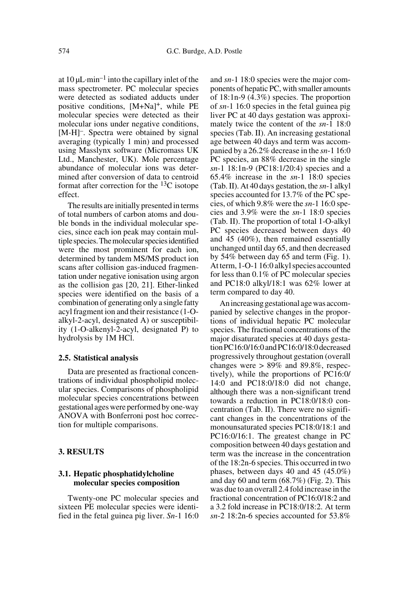at  $10 \mu L \cdot min^{-1}$  into the capillary inlet of the mass spectrometer. PC molecular species were detected as sodiated adducts under positive conditions, [M+Na]+, while PE molecular species were detected as their molecular ions under negative conditions, [M-H]–. Spectra were obtained by signal averaging (typically 1 min) and processed using Masslynx software (Micromass UK Ltd., Manchester, UK). Mole percentage abundance of molecular ions was determined after conversion of data to centroid format after correction for the  $^{13}$ C isotope effect.

The results are initially presented in terms of total numbers of carbon atoms and double bonds in the individual molecular species, since each ion peak may contain multiple species. The molecular species identified were the most prominent for each ion, determined by tandem MS/MS product ion scans after collision gas-induced fragmentation under negative ionisation using argon as the collision gas [20, 21]. Ether-linked species were identified on the basis of a combination of generating only a single fatty acyl fragment ion and their resistance (1-Oalkyl-2-acyl, designated A) or susceptibility (1-O-alkenyl-2-acyl, designated P) to hydrolysis by 1M HCl.

#### **2.5. Statistical analysis**

Data are presented as fractional concentrations of individual phospholipid molecular species. Comparisons of phospholipid molecular species concentrations between gestational ages were performed by one-way ANOVA with Bonferroni post hoc correction for multiple comparisons.

## **3. RESULTS**

## **3.1. Hepatic phosphatidylcholine molecular species composition**

Twenty-one PC molecular species and sixteen PE molecular species were identified in the fetal guinea pig liver. *Sn*-1 16:0 and *sn*-1 18:0 species were the major components of hepatic PC, with smaller amounts of 18:1n-9 (4.3%) species. The proportion of *sn-*1 16:0 species in the fetal guinea pig liver PC at 40 days gestation was approximately twice the content of the *sn-*1 18:0 species (Tab. II). An increasing gestational age between 40 days and term was accompanied by a 26.2% decrease in the *sn*-1 16:0 PC species, an 88% decrease in the single *sn*-1 18:1n-9 (PC18:1/20:4) species and a 65.4% increase in the *sn*-1 18:0 species (Tab. II). At 40 days gestation, the *sn*-1 alkyl species accounted for 13.7% of the PC species, of which 9.8% were the *sn*-1 16:0 species and 3.9% were the *sn*-1 18:0 species (Tab. II). The proportion of total 1-O-alkyl PC species decreased between days 40 and 45 (40%), then remained essentially unchanged until day 65, and then decreased by 54% between day 65 and term (Fig. 1). At term, 1-O-1 16:0 alkyl species accounted for less than 0.1% of PC molecular species and PC18:0 alkyl/18:1 was 62% lower at term compared to day 40.

An increasing gestational age was accompanied by selective changes in the proportions of individual hepatic PC molecular species. The fractional concentrations of the major disaturated species at 40 days gestation PC16:0/16:0 and PC16:0/18:0 decreased progressively throughout gestation (overall changes were  $> 89\%$  and 89.8%, respectively), while the proportions of PC16:0/ 14:0 and PC18:0/18:0 did not change, although there was a non-significant trend towards a reduction in PC18:0/18:0 concentration (Tab. II). There were no significant changes in the concentrations of the monounsaturated species PC18:0/18:1 and PC16:0/16:1. The greatest change in PC composition between 40 days gestation and term was the increase in the concentration of the 18:2n-6 species. This occurred in two phases, between days 40 and 45 (45.0%) and day 60 and term  $(68.7%)$  (Fig. 2). This was due to an overall 2.4 fold increase in the fractional concentration of PC16:0/18:2 and a 3.2 fold increase in PC18:0/18:2. At term *sn*-2 18:2n-6 species accounted for 53.8%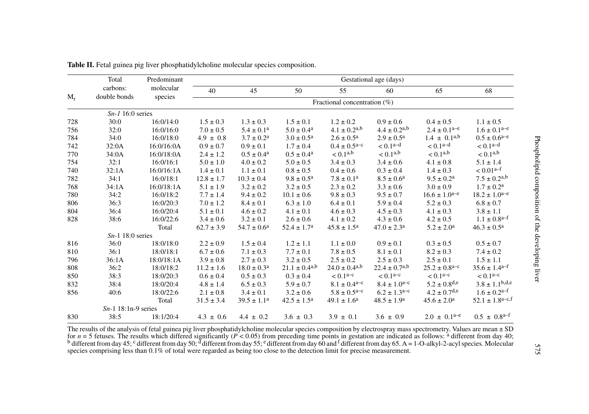|       | Total<br>carbons:<br>double bonds | Predominant<br>molecular<br>species | Gestational age (days) |                                 |                          |                              |                            |                              |                               |
|-------|-----------------------------------|-------------------------------------|------------------------|---------------------------------|--------------------------|------------------------------|----------------------------|------------------------------|-------------------------------|
|       |                                   |                                     | 40                     | 45                              | 50                       | 55                           | 60                         | 65                           | 68                            |
| $M_r$ |                                   |                                     |                        | Fractional concentration $(\%)$ |                          |                              |                            |                              |                               |
|       | $Sn-1$ 16:0 series                |                                     |                        |                                 |                          |                              |                            |                              |                               |
| 728   | 30:0                              | 16:0/14:0                           | $1.5 \pm 0.3$          | $1.3 \pm 0.3$                   | $1.5 \pm 0.1$            | $1.2 \pm 0.2$                | $0.9 \pm 0.6$              | $0.4 \pm 0.5$                | $1.1 \pm 0.5$                 |
| 756   | 32:0                              | 16:0/16:0                           | $7.0 \pm 0.5$          | $5.4 \pm 0.1^a$                 | $5.0 \pm 0.4^{\text{a}}$ | $4.1 \pm 0.2$ <sup>a,b</sup> | $4.4 \pm 0.2^{a,b}$        | $2.4 \pm 0.1^{a-e}$          | $1.6 \pm 0.1^{a-e}$           |
| 784   | 34:0                              | 16:0/18:0                           | $4.9 \pm 0.8$          | $3.7 \pm 0.2^{\text{a}}$        | $3.0 \pm 0.5^{\text{a}}$ | $2.6 \pm 0.5^{\text{a}}$     | $2.9 \pm 0.5^{\text{a}}$   | $1.4 \pm 0.1^{a,b}$          | $0.5 \pm 0.6^{\text{a-e}}$    |
| 742   | 32:0A                             | 16:0/16:0A                          | $0.9 \pm 0.7$          | $0.9 \pm 0.1$                   | $1.7 \pm 0.4$            | $0.4 \pm 0.5^{\text{a-c}}$   | $< 0.1a-d$                 | $< 0.1a-d$                   | $< 0.1a-d$                    |
| 770   | 34:0A                             | 16:0/18:0A                          | $2.4 \pm 1.2$          | $0.5 \pm 0.4^{\text{a}}$        | $0.5 \pm 0.4^{\text{a}}$ | < 0.1 <sup>a,b</sup>         | < 0.1 <sup>a,b</sup>       | < 0.1 <sup>a,b</sup>         | < 0.1 <sup>a,b</sup>          |
| 754   | 32:1                              | 16:0/16:1                           | $5.0 \pm 1.0$          | $4.0 \pm 0.2$                   | $5.0 \pm 0.5$            | $3.4 \pm 0.3$                | $3.4 \pm 0.6$              | $4.1 \pm 0.8$                | $5.1 \pm 1.4$                 |
| 740   | 32:1A                             | 16:0/16:1A                          | $1.4 \pm 0.1$          | $1.1 \pm 0.1$                   | $0.8 \pm 0.5$            | $0.4 \pm 0.6$                | $0.3 \pm 0.4$              | $1.4 \pm 0.3$                | $< 0.01a-f$                   |
| 782   | 34:1                              | 16:0/18:1                           | $12.8 \pm 1.7$         | $10.3 \pm 0.4$                  | $9.8 \pm 0.5^{\text{a}}$ | $7.8 \pm 0.1^{\text{a}}$     | $8.5 \pm 0.6^a$            | $9.5 \pm 0.2^{\rm a}$        | $7.5 \pm 0.2^{a,b}$           |
| 768   | 34:1A                             | 16:0/18:1A                          | $5.1 \pm 1.9$          | $3.2 \pm 0.2$                   | $3.2 \pm 0.5$            | $2.3 \pm 0.2$                | $3.3 \pm 0.6$              | $3.0 \pm 0.9$                | $1.7 \pm 0.2^{\text{a}}$      |
| 780   | 34:2                              | 16:0/18:2                           | $7.7 \pm 1.4$          | $9.4 \pm 0.2$                   | $10.1 \pm 0.6$           | $9.8 \pm 0.3$                | $9.5 \pm 0.7$              | $16.6 \pm 1.0^{a-e}$         | $18.2 \pm 1.0^{a-e}$          |
| 806   | 36:3                              | 16:0/20:3                           | $7.0 \pm 1.2$          | $8.4 \pm 0.1$                   | $6.3 \pm 1.0$            | $6.4 \pm 0.1$                | $5.9 \pm 0.4$              | $5.2 \pm 0.3$                | $6.8 \pm 0.7$                 |
| 804   | 36:4                              | 16:0/20:4                           | $5.1 \pm 0.1$          | $4.6 \pm 0.2$                   | $4.1 \pm 0.1$            | $4.6 \pm 0.3$                | $4.5 \pm 0.3$              | $4.1 \pm 0.3$                | $3.8 \pm 1.1$                 |
| 828   | 38:6                              | 16:0/22:6                           | $3.4 \pm 0.6$          | $3.2 \pm 0.1$                   | $2.6 \pm 0.6$            | $4.1 \pm 0.2$                | $4.3 \pm 0.6$              | $4.2 \pm 0.5$                | $1.1 \pm 0.8^{a-f}$           |
|       |                                   | Total                               | $62.7 \pm 3.9$         | $54.7 \pm 0.6^{\rm a}$          | $52.4 \pm 1.7^{\rm a}$   | $45.8 \pm 1.5^{\rm a}$       | $47.0 \pm 2.3^{\circ}$     | $5.2 \pm 2.0^{\circ}$        | $46.3 \pm 0.5^{\rm a}$        |
|       | $Sn-1$ 18:0 series                |                                     |                        |                                 |                          |                              |                            |                              |                               |
| 816   | 36:0                              | 18:0/18:0                           | $2.2 \pm 0.9$          | $1.5 \pm 0.4$                   | $1.2 \pm 1.1$            | $1.1 \pm 0.0$                | $0.9 \pm 0.1$              | $0.3 \pm 0.5$                | $0.5 \pm 0.7$                 |
| 810   | 36:1                              | 18:0/18:1                           | $6.7 \pm 0.6$          | $7.1 \pm 0.3$                   | $7.7 \pm 0.1$            | $7.8 \pm 0.5$                | $8.1 \pm 0.1$              | $8.2 \pm 0.3$                | $7.4 \pm 0.2$                 |
| 796   | 36:1A                             | 18:0/18:1A                          | $3.9 \pm 0.8$          | $2.7 \pm 0.3$                   | $3.2 \pm 0.5$            | $2.5 \pm 0.2$                | $2.5 \pm 0.3$              | $2.5 \pm 0.1$                | $1.5 \pm 1.1$                 |
| 808   | 36:2                              | 18:0/18:2                           | $11.2 \pm 1.6$         | $18.0 \pm 0.3^{\text{a}}$       | $21.1 \pm 0.4^{a,b}$     | $24.0 \pm 0.4^{a,b}$         | $22.4 \pm 0.7^{a,b}$       | $25.2 \pm 0.8^{\text{a-c}}$  | $35.6 \pm 1.4$ <sup>a-f</sup> |
| 850   | 38:3                              | 18:0/20:3                           | $0.6 \pm 0.4$          | $0.5 \pm 0.3$                   | $0.3 \pm 0.4$            | $< 0.1a-c$                   | $< 0.1a-c$                 | $< 0.1a-c$                   | $< 0.1a-c$                    |
| 832   | 38:4                              | 18:0/20:4                           | $4.8 \pm 1.4$          | $6.5 \pm 0.3$                   | $5.9 \pm 0.7$            | $8.1 \pm 0.4^{\text{a-c}}$   | $8.4 \pm 1.0^{a-c}$        | $5.2 \pm 0.8$ <sup>d,e</sup> | $3.8 \pm 1.1^{b,d,e}$         |
| 856   | 40:6                              | 18:0/22:6                           | $2.1 \pm 0.8$          | $3.4 \pm 0.1$                   | $3.2 \pm 0.6$            | $5.8 \pm 0.5^{\text{a-c}}$   | $6.2 \pm 1.3^{\text{a-c}}$ | $4.2 \pm 0.7$ <sup>d,e</sup> | $1.6 \pm 0.2^{\text{a-f}}$    |
|       |                                   | Total                               | $31.5 \pm 3.4$         | $39.5 \pm 1.1^a$                | $42.5 \pm 1.5^{\rm a}$   | $49.1 \pm 1.6^a$             | $48.5 \pm 1.9^{\circ}$     | $45.6 \pm 2.0^{\circ}$       | $52.1 \pm 1.8^{\text{a-c,f}}$ |
|       | $Sn-1$ 18:1n-9 series             |                                     |                        |                                 |                          |                              |                            |                              |                               |
| 830   | 38:5                              | 18:1/20:4                           | $4.3 \pm 0.6$          | $4.4 \pm 0.2$                   | $3.6 \pm 0.3$            | $3.9 \pm 0.1$                | $3.6 \pm 0.9$              | $2.0 \pm 0.1^{a-e}$          | $0.5 \pm 0.8^{a-f}$           |

Table II. Fetal guinea pig liver phosphatidylcholine molecular species composition.

The results of the analysis of fetal guinea pig liver phosphatidylcholine molecular species composition by electrospray mass spectrometry. Values are mean  $\pm$  SD for  $n = 5$  fetuses. The results which differed significant species comprising less than 0.1% of total were regarded as being too close to the detection limit for precise measurement.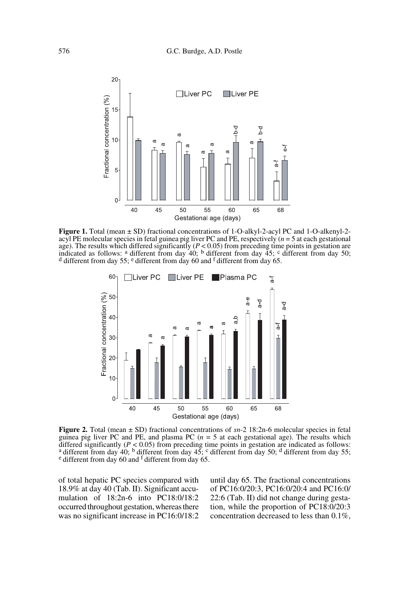

**Figure 1.** Total (mean ± SD) fractional concentrations of 1-O-alkyl-2-acyl PC and 1-O-alkenyl-2 acyl PE molecular species in fetal guinea pig liver PC and PE, respectively (*n* = 5 at each gestational age). The results which differed significantly ( $P < 0.05$ ) from preceding time points in gestation are indicated as follows: <sup>a</sup> different from day 40; <sup>b</sup> different from day 45; <sup>c</sup> different from day 50; <sup>d</sup> different f



**Figure 2.** Total (mean  $\pm$  SD) fractional concentrations of *sn*-2 18:2n-6 molecular species in fetal guinea pig liver PC and PE, and plasma PC  $(n = 5$  at each gestational age). The results which differed significantly ( $P < 0.05$ ) from preceding time points in gestation are indicated as follows:<br><sup>a</sup> different from day 40; <sup>b</sup> different from day 45; <sup>c</sup> different from day 50; <sup>d</sup> different from day 55; <sup>e</sup> differen

of total hepatic PC species compared with 18.9% at day 40 (Tab. II). Significant accumulation of 18:2n-6 into PC18:0/18:2 occurred throughout gestation, whereas there was no significant increase in PC16:0/18:2

until day 65. The fractional concentrations of PC16:0/20:3, PC16:0/20:4 and PC16:0/ 22:6 (Tab. II) did not change during gestation, while the proportion of PC18:0/20:3 concentration decreased to less than 0.1%,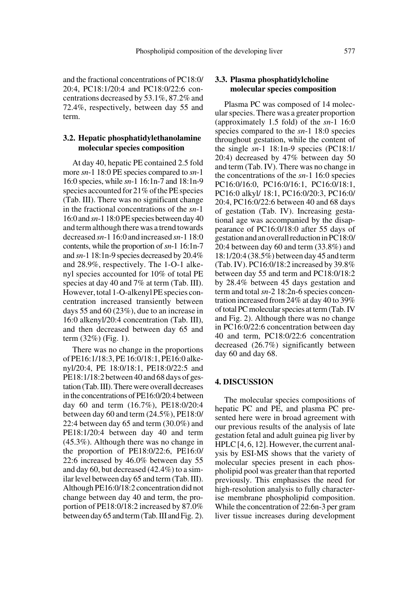and the fractional concentrations of PC18:0/ 20:4, PC18:1/20:4 and PC18:0/22:6 concentrations decreased by 53.1%, 87.2% and 72.4%, respectively, between day 55 and term.

## **3.2. Hepatic phosphatidylethanolamine molecular species composition**

At day 40, hepatic PE contained 2.5 fold more *sn*-1 18:0 PE species compared to *sn*-1 16:0 species, while *sn*-1 16:1n-7 and 18:1n-9 species accounted for 21% of the PE species (Tab. III). There was no significant change in the fractional concentrations of the *sn*-1 16:0 and *sn*-1 18:0 PE species between day 40 and term although there was a trend towards decreased *sn*-1 16:0 and increased *sn*-1 18:0 contents, while the proportion of *sn*-1 16:1n-7 and *sn*-1 18:1n-9 species decreased by 20.4% and 28.9%, respectively. The 1-O-1 alkenyl species accounted for 10% of total PE species at day 40 and 7% at term (Tab. III). However, total 1-O-alkenyl PE species concentration increased transiently between days 55 and 60 (23%), due to an increase in 16:0 alkenyl/20:4 concentration (Tab. III), and then decreased between day 65 and term (32%) (Fig. 1).

There was no change in the proportions of PE16:1/18:3, PE 16:0/18:1, PE16:0 alkenyl/20:4, PE 18:0/18:1, PE18:0/22:5 and PE18:1/18:2 between 40 and 68 days of gestation (Tab. III). There were overall decreases in the concentrations of PE16:0/20:4 between day 60 and term (16.7%), PE18:0/20:4 between day 60 and term (24.5%), PE18:0/ 22:4 between day 65 and term (30.0%) and PE18:1/20:4 between day 40 and term (45.3%). Although there was no change in the proportion of PE18:0/22:6, PE16:0/ 22:6 increased by 46.0% between day 55 and day 60, but decreased (42.4%) to a similar level between day 65 and term (Tab. III). Although PE16:0/18:2 concentration did not change between day 40 and term, the proportion of PE18:0/18:2 increased by 87.0% between day 65 and term (Tab. III and Fig. 2).

## **3.3. Plasma phosphatidylcholine molecular species composition**

Plasma PC was composed of 14 molecular species. There was a greater proportion (approximately 1.5 fold) of the *sn*-1 16:0 species compared to the *sn*-1 18:0 species throughout gestation, while the content of the single *sn*-1 18:1n-9 species (PC18:1/ 20:4) decreased by 47% between day 50 and term (Tab. IV). There was no change in the concentrations of the *sn*-1 16:0 species PC16:0/16:0, PC16:0/16:1, PC16:0/18:1, PC16:0 alkyl/ 18:1, PC16:0/20:3, PC16:0/ 20:4, PC16:0/22:6 between 40 and 68 days of gestation (Tab. IV). Increasing gestational age was accompanied by the disappearance of PC16:0/18:0 after 55 days of gestation and an overall reduction in PC18:0/ 20:4 between day 60 and term (33.8%) and 18:1/20:4 (38.5%) between day 45 and term (Tab. IV). PC16:0/18:2 increased by 39.8% between day 55 and term and PC18:0/18:2 by 28.4% between 45 days gestation and term and total *sn*-2 18:2n-6 species concentration increased from 24% at day 40 to 39% of total PC molecular species at term (Tab. IV and Fig. 2). Although there was no change in PC16:0/22:6 concentration between day 40 and term, PC18:0/22:6 concentration decreased (26.7%) significantly between day 60 and day 68.

#### **4. DISCUSSION**

The molecular species compositions of hepatic PC and PE, and plasma PC presented here were in broad agreement with our previous results of the analysis of late gestation fetal and adult guinea pig liver by HPLC [4, 6, 12]. However, the current analysis by ESI-MS shows that the variety of molecular species present in each phospholipid pool was greater than that reported previously. This emphasises the need for high-resolution analysis to fully characterise membrane phospholipid composition. While the concentration of 22:6n-3 per gram liver tissue increases during development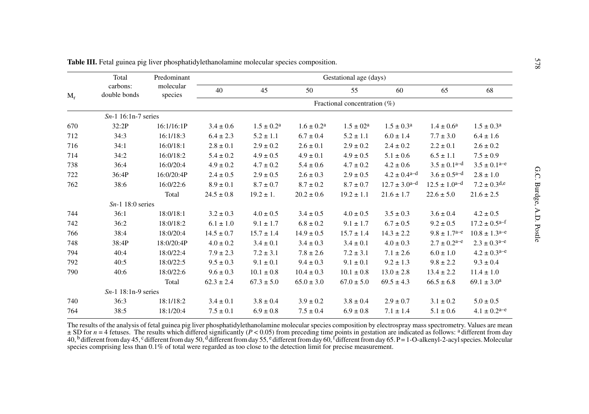|       | Total                    | Predominant          | Gestational age (days) |                                 |                          |                      |                              |                              |                             |  |  |
|-------|--------------------------|----------------------|------------------------|---------------------------------|--------------------------|----------------------|------------------------------|------------------------------|-----------------------------|--|--|
| $M_r$ | carbons:<br>double bonds | molecular<br>species | 40                     | 45                              | 50                       | 55                   | 60                           | 65                           | 68                          |  |  |
|       |                          |                      |                        | Fractional concentration $(\%)$ |                          |                      |                              |                              |                             |  |  |
|       | $Sn-1$ 16:1n-7 series    |                      |                        |                                 |                          |                      |                              |                              |                             |  |  |
| 670   | 32:2P                    | 16:1/16:1P           | $3.4 \pm 0.6$          | $1.5 \pm 0.2^{\rm a}$           | $1.6 \pm 0.2^{\text{a}}$ | $1.5 \pm 02^{\rm a}$ | $1.5 \pm 0.3^{\circ}$        | $1.4 \pm 0.6^{\rm a}$        | $1.5 \pm 0.3^{\rm a}$       |  |  |
| 712   | 34:3                     | 16:1/18:3            | $6.4 \pm 2.3$          | $5.2 \pm 1.1$                   | $6.7 \pm 0.4$            | $5.2 \pm 1.1$        | $6.0 \pm 1.4$                | $7.7 \pm 3.0$                | $6.4 \pm 1.6$               |  |  |
| 716   | 34:1                     | 16:0/18:1            | $2.8\pm0.1$            | $2.9 \pm 0.2$                   | $2.6 \pm 0.1$            | $2.9 \pm 0.2$        | $2.4 \pm 0.2$                | $2.2 \pm 0.1$                | $2.6 \pm 0.2$               |  |  |
| 714   | 34:2                     | 16:0/18:2            | $5.4 \pm 0.2$          | $4.9 \pm 0.5$                   | $4.9 \pm 0.1$            | $4.9 \pm 0.5$        | $5.1 \pm 0.6$                | $6.5 \pm 1.1$                | $7.5 \pm 0.9$               |  |  |
| 738   | 36:4                     | 16:0/20:4            | $4.9 \pm 0.2$          | $4.7 \pm 0.2$                   | $5.4 \pm 0.6$            | $4.7 \pm 0.2$        | $4.2 \pm 0.6$                | $3.5 \pm 0.1$ <sup>a-d</sup> | $3.5 \pm 0.1^{a-e}$         |  |  |
| 722   | 36:4P                    | 16:0/20:4P           | $2.4 \pm 0.5$          | $2.9 \pm 0.5$                   | $2.6 \pm 0.3$            | $2.9 \pm 0.5$        | $4.2 \pm 0.4$ <sup>a-d</sup> | $3.6 \pm 0.5$ <sup>a-d</sup> | $2.8 \pm 1.0$               |  |  |
| 762   | 38:6                     | 16:0/22:6            | $8.9 \pm 0.1$          | $8.7 \pm 0.7$                   | $8.7 \pm 0.2$            | $8.7 \pm 0.7$        | $12.7 \pm 3.0^{a-d}$         | $12.5 \pm 1.0^{a-d}$         | $7.2 \pm 0.3$ d,e           |  |  |
|       |                          | Total                | $24.5 \pm 0.8$         | $19.2 \pm 1.$                   | $20.2 \pm 0.6$           | $19.2 \pm 1.1$       | $21.6 \pm 1.7$               | $22.6 \pm 5.0$               | $21.6 \pm 2.5$              |  |  |
|       | $Sn-1$ 18:0 series       |                      |                        |                                 |                          |                      |                              |                              |                             |  |  |
| 744   | 36:1                     | 18:0/18:1            | $3.2 \pm 0.3$          | $4.0 \pm 0.5$                   | $3.4 \pm 0.5$            | $4.0 \pm 0.5$        | $3.5 \pm 0.3$                | $3.6 \pm 0.4$                | $4.2 \pm 0.5$               |  |  |
| 742   | 36:2                     | 18:0/18:2            | $6.1 \pm 1.0$          | $9.1 \pm 1.7$                   | $6.8 \pm 0.2$            | $9.1 \pm 1.7$        | $6.7 \pm 0.5$                | $9.2 \pm 0.5$                | $17.2 \pm 0.5^{a-f}$        |  |  |
| 766   | 38:4                     | 18:0/20:4            | $14.5 \pm 0.7$         | $15.7 \pm 1.4$                  | $14.9 \pm 0.5$           | $15.7 \pm 1.4$       | $14.3 \pm 2.2$               | $9.8 \pm 1.7^{\text{a-e}}$   | $10.8 \pm 1.3^{\text{a-e}}$ |  |  |
| 748   | 38:4P                    | 18:0/20:4P           | $4.0\pm0.2$            | $3.4 \pm 0.1$                   | $3.4\pm0.3$              | $3.4 \pm 0.1$        | $4.0 \pm 0.3$                | $2.7 \pm 0.2^{\text{a-e}}$   | $2.3 \pm 0.3^{a-e}$         |  |  |
| 794   | 40:4                     | 18:0/22:4            | $7.9 \pm 2.3$          | $7.2 \pm 3.1$                   | $7.8 \pm 2.6$            | $7.2 \pm 3.1$        | $7.1 \pm 2.6$                | $6.0 \pm 1.0$                | $4.2 \pm 0.3^{a-e}$         |  |  |
| 792   | 40:5                     | 18:0/22:5            | $9.5 \pm 0.3$          | $9.1 \pm 0.1$                   | $9.4 \pm 0.3$            | $9.1 \pm 0.1$        | $9.2 \pm 1.3$                | $9.8 \pm 2.2$                | $9.3 \pm 0.4$               |  |  |
| 790   | 40:6                     | 18:0/22:6            | $9.6 \pm 0.3$          | $10.1 \pm 0.8$                  | $10.4 \pm 0.3$           | $10.1 \pm 0.8$       | $13.0 \pm 2.8$               | $13.4 \pm 2.2$               | $11.4 \pm 1.0$              |  |  |
|       |                          | Total                | $62.3 \pm 2.4$         | $67.3 \pm 5.0$                  | $65.0\pm3.0$             | $67.0 \pm 5.0$       | $69.5 \pm 4.3$               | $66.5 \pm 6.8$               | $69.1 \pm 3.0^{\circ}$      |  |  |
|       | $Sn-1$ 18:1n-9 series    |                      |                        |                                 |                          |                      |                              |                              |                             |  |  |
| 740   | 36:3                     | 18:1/18:2            | $3.4 \pm 0.1$          | $3.8 \pm 0.4$                   | $3.9 \pm 0.2$            | $3.8 \pm 0.4$        | $2.9 \pm 0.7$                | $3.1 \pm 0.2$                | $5.0 \pm 0.5$               |  |  |
| 764   | 38:5                     | 18:1/20:4            | $7.5 + 0.1$            | $6.9 + 0.8$                     | $7.5 + 0.4$              | $6.9 + 0.8$          | $7.1 + 1.4$                  | $5.1 + 0.6$                  | $4.1 + 0.2^{a-e}$           |  |  |

Table III. Fetal guinea pig liver phosphatidylethanolamine molecular species composition.

The results of the analysis of fetal guinea pig liver phosphatidylethanolamine molecular species composition by electrospray mass spectrometry. Values are mean  $\pm$  SD for  $n = 4$  fetuses. The results which differed signif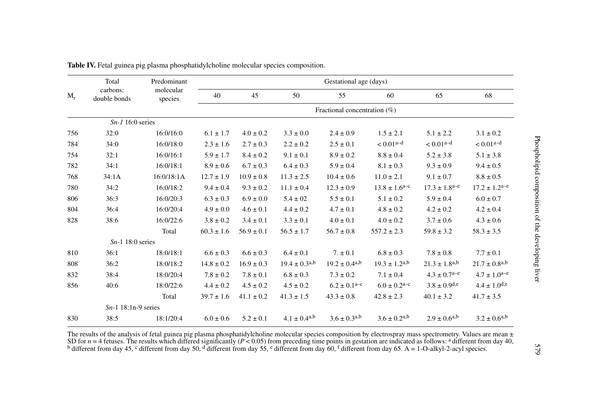| $M_r$ | Total<br>carbons:<br>double bonds | Predominant<br>molecular<br>species | Gestational age (days) |                                 |                              |                               |                              |                             |                             |  |
|-------|-----------------------------------|-------------------------------------|------------------------|---------------------------------|------------------------------|-------------------------------|------------------------------|-----------------------------|-----------------------------|--|
|       |                                   |                                     | 40                     | 45                              | 50                           | 55                            | 60                           | 65                          | 68                          |  |
|       |                                   |                                     |                        | Fractional concentration $(\%)$ |                              |                               |                              |                             |                             |  |
|       | $Sn-1$ 16:0 series                |                                     |                        |                                 |                              |                               |                              |                             |                             |  |
| 756   | 32:0                              | 16:0/16:0                           | $6.1 \pm 1.7$          | $4.0 \pm 0.2$                   | $3.3 \pm 0.0$                | $2.4 \pm 0.9$                 | $1.5 \pm 2.1$                | $5.1 \pm 2.2$               | $3.1 \pm 0.2$               |  |
| 784   | 34:0                              | 16:0/18:0                           | $2.3 \pm 1.6$          | $2.7 \pm 0.3$                   | $2.2 \pm 0.2$                | $2.5 \pm 0.1$                 | $< 0.01a-d$                  | $< 0.01a-d$                 | $< 0.01a-d$                 |  |
| 754   | 32:1                              | 16:0/16:1                           | $5.9 \pm 1.7$          | $8.4 \pm 0.2$                   | $9.1 \pm 0.1$                | $8.9 \pm 0.2$                 | $8.8 \pm 0.4$                | $5.2 \pm 3.8$               | $5.1 \pm 3.8$               |  |
| 782   | 34:1                              | 16:0/18:1                           | $8.9 \pm 0.6$          | $6.7 \pm 0.3$                   | $6.4 \pm 0.3$                | $5.9 \pm 0.4$                 | $8.1 \pm 0.3$                | $9.3 \pm 0.9$               | $9.4 \pm 0.5$               |  |
| 768   | 34:1A                             | 16:0/18:1A                          | $12.7 \pm 1.9$         | $10.9 \pm 0.8$                  | $11.3 \pm 2.5$               | $10.4 \pm 0.6$                | $11.0 \pm 2.1$               | $9.1 \pm 0.7$               | $8.8\pm0.5$                 |  |
| 780   | 34:2                              | 16:0/18:2                           | $9.4 \pm 0.4$          | $9.3 \pm 0.2$                   | $11.1 \pm 0.4$               | $12.3 \pm 0.9$                | $13.8 \pm 1.6^{\text{a-c}}$  | $17.3 \pm 1.8^{\text{a-e}}$ | $17.2 \pm 1.2^{\text{a-e}}$ |  |
| 806   | 36:3                              | 16:0/20:3                           | $6.3 \pm 0.3$          | $6.9 \pm 0.0$                   | $5.4 \pm 02$                 | $5.5 \pm 0.1$                 | $5.1 \pm 0.2$                | $5.9 \pm 0.4$               | $6.0 \pm 0.7$               |  |
| 804   | 36:4                              | 16:0/20:4                           | $4.9 \pm 0.0$          | $4.6 \pm 0.1$                   | $4.4 \pm 0.2$                | $4.7 \pm 0.1$                 | $4.8\pm0.2$                  | $4.2 \pm 0.2$               | $4.2 \pm 0.4$               |  |
| 828   | 38:6                              | 16:0/22:6                           | $3.8 \pm 0.2$          | $3.4 \pm 0.1$                   | $3.3 \pm 0.1$                | $4.0 \pm 0.1$                 | $4.0 \pm 0.2$                | $3.7 \pm 0.6$               | $4.3 \pm 0.6$               |  |
|       |                                   | Total                               | $60.3 \pm 1.6$         | $56.9 \pm 0.1$                  | $56.5 \pm 1.7$               | $56.7 \pm 0.8$                | $557.2 \pm 2.3$              | $59.8 \pm 3.2$              | $58.3 \pm 3.5$              |  |
|       | $Sn-1$ 18:0 series                |                                     |                        |                                 |                              |                               |                              |                             |                             |  |
| 810   | 36:1                              | 18:0/18:1                           | $6.6 \pm 0.3$          | $6.6 \pm 0.3$                   | $6.4 \pm 0.1$                | $7. \pm 0.1$                  | $6.8 \pm 0.3$                | $7.8 \pm 0.8$               | $7.7 \pm 0.1$               |  |
| 808   | 36:2                              | 18:0/18:2                           | $14.8 \pm 0.2$         | $16.9 \pm 0.3$                  | $19.4 \pm 0.3^{a,b}$         | $19.2 \pm 0.4$ <sup>a,b</sup> | $19.3 \pm 1.2^{a,b}$         | $21.3 \pm 1.8^{a,b}$        | $21.7 \pm 0.8^{a,b}$        |  |
| 832   | 38:4                              | 18:0/20:4                           | $7.8 \pm 0.2$          | $7.8 \pm 0.1$                   | $6.8 \pm 0.3$                | $7.3 \pm 0.2$                 | $7.1 \pm 0.4$                | $4.3 \pm 0.7^{\text{a-e}}$  | $4.7\pm1.0^{\mathrm{a-e}}$  |  |
| 856   | 40:6                              | 18:0/22:6                           | $4.4 \pm 0.2$          | $4.5 \pm 0.2$                   | $4.5 \pm 0.2$                | $6.2 \pm 0.1^{\text{a-c}}$    | $6.0 \pm 0.2^{\text{a-c}}$   | $3.8 \pm 0.9^{d,e}$         | $4.4 \pm 1.0^{d,e}$         |  |
|       |                                   | Total                               | $39.7 \pm 1.6$         | $41.1 \pm 0.2$                  | $41.3 \pm 1.5$               | $43.3 \pm 0.8$                | $42.8 \pm 2.3$               | $40.1 \pm 3.2$              | $41.7 \pm 3.5$              |  |
|       | $Sn-1$ 18:1n-9 series             |                                     |                        |                                 |                              |                               |                              |                             |                             |  |
| 830   | 38:5                              | 18:1/20:4                           | $6.0 \pm 0.6$          | $5.2 \pm 0.1$                   | $4.1 \pm 0.4$ <sup>a,b</sup> | $3.6 \pm 0.3^{a,b}$           | $3.6 \pm 0.2$ <sup>a,b</sup> | $2.9 \pm 0.6^{a,b}$         | $3.2 \pm 0.6^{a,b}$         |  |

Table IV. Fetal guinea pig plasma phosphatidylcholine molecular species composition.

The results of the analysis of fetal guinea pig plasma phosphatidylcholine molecular species composition by electrospray mass spectrometry. Values are mean  $\pm$  SD for  $n = 4$  fetuses. The results which differed significan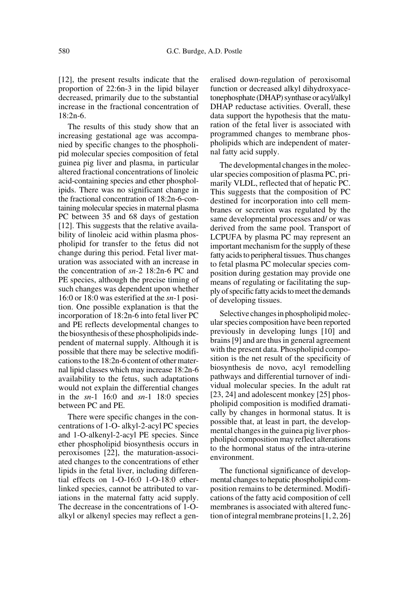[12], the present results indicate that the proportion of 22:6n-3 in the lipid bilayer decreased, primarily due to the substantial increase in the fractional concentration of  $18:2n-6$ 

The results of this study show that an increasing gestational age was accompanied by specific changes to the phospholipid molecular species composition of fetal guinea pig liver and plasma, in particular altered fractional concentrations of linoleic acid-containing species and ether phospholipids. There was no significant change in the fractional concentration of 18:2n-6-containing molecular species in maternal plasma PC between 35 and 68 days of gestation [12]. This suggests that the relative availability of linoleic acid within plasma phospholipid for transfer to the fetus did not change during this period. Fetal liver maturation was associated with an increase in the concentration of *sn-*2 18:2n-6 PC and PE species, although the precise timing of such changes was dependent upon whether 16:0 or 18:0 was esterified at the *sn*-1 position. One possible explanation is that the incorporation of 18:2n-6 into fetal liver PC and PE reflects developmental changes to the biosynthesis of these phospholipids independent of maternal supply. Although it is possible that there may be selective modifications to the 18:2n-6 content of other maternal lipid classes which may increase 18:2n-6 availability to the fetus, such adaptations would not explain the differential changes in the *sn*-1 16:0 and *sn*-1 18:0 species between PC and PE.

There were specific changes in the concentrations of 1-O- alkyl-2-acyl PC species and 1-O-alkenyl-2-acyl PE species. Since ether phospholipid biosynthesis occurs in peroxisomes [22], the maturation-associated changes to the concentrations of ether lipids in the fetal liver, including differential effects on 1-O-16:0 1-O-18:0 etherlinked species, cannot be attributed to variations in the maternal fatty acid supply. The decrease in the concentrations of 1-Oalkyl or alkenyl species may reflect a generalised down-regulation of peroxisomal function or decreased alkyl dihydroxyacetonephosphate (DHAP) synthase or acyl/alkyl DHAP reductase activities. Overall, these data support the hypothesis that the maturation of the fetal liver is associated with programmed changes to membrane phospholipids which are independent of maternal fatty acid supply.

The developmental changes in the molecular species composition of plasma PC, primarily VLDL, reflected that of hepatic PC. This suggests that the composition of PC destined for incorporation into cell membranes or secretion was regulated by the same developmental processes and/ or was derived from the same pool. Transport of LCPUFA by plasma PC may represent an important mechanism for the supply of these fatty acids to peripheral tissues. Thus changes to fetal plasma PC molecular species composition during gestation may provide one means of regulating or facilitating the supply of specific fatty acids to meet the demands of developing tissues.

Selective changes in phospholipid molecular species composition have been reported previously in developing lungs [10] and brains [9] and are thus in general agreement with the present data. Phospholipid composition is the net result of the specificity of biosynthesis de novo, acyl remodelling pathways and differential turnover of individual molecular species. In the adult rat [23, 24] and adolescent monkey [25] phospholipid composition is modified dramatically by changes in hormonal status. It is possible that, at least in part, the developmental changes in the guinea pig liver phospholipid composition may reflect alterations to the hormonal status of the intra-uterine environment.

The functional significance of developmental changes to hepatic phospholipid composition remains to be determined. Modifications of the fatty acid composition of cell membranes is associated with altered function of integral membrane proteins [1, 2, 26]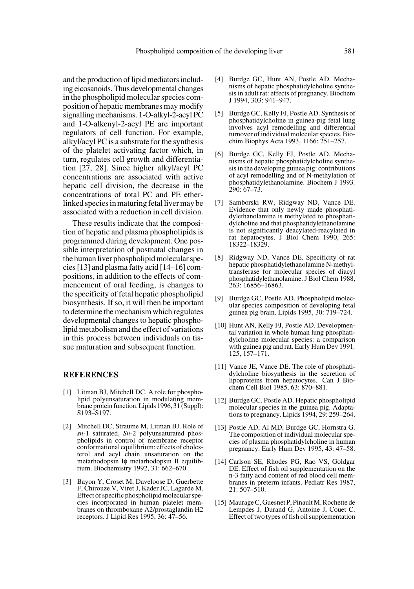and the production of lipid mediators including eicosanoids. Thus developmental changes in the phospholipid molecular species composition of hepatic membranes may modify signalling mechanisms. 1-O-alkyl-2-acyl PC and 1-O-alkenyl-2-acyl PE are important regulators of cell function. For example, alkyl/acyl PC is a substrate for the synthesis of the platelet activating factor which, in turn, regulates cell growth and differentiation [27, 28]. Since higher alkyl/acyl PC concentrations are associated with active hepatic cell division, the decrease in the concentrations of total PC and PE etherlinked species in maturing fetal liver may be associated with a reduction in cell division.

These results indicate that the composition of hepatic and plasma phospholipids is programmed during development. One possible interpretation of postnatal changes in the human liver phospholipid molecular species [13] and plasma fatty acid [14–16] compositions, in addition to the effects of commencement of oral feeding, is changes to the specificity of fetal hepatic phospholipid biosynthesis. If so, it will then be important to determine the mechanism which regulates developmental changes to hepatic phospholipid metabolism and the effect of variations in this process between individuals on tissue maturation and subsequent function.

#### **REFERENCES**

- [1] Litman BJ, Mitchell DC. A role for phospholipid polyunsaturation in modulating membrane protein function. Lipids 1996, 31 (Suppl): S193–S197.
- [2] Mitchell DC, Straume M, Litman BJ. Role of *sn*-1 saturated, *Sn*-2 polyunsaturated phospholipids in control of membrane receptor conformational equilibrium: effects of cholesterol and acyl chain unsaturation on the metarhodopsin Iφ metarhodopsin II equilibrium. Biochemistry 1992, 31: 662–670.
- [3] Bayon Y, Croset M, Daveloose D, Guerbette F, Chirouze V, Viret J, Kader JC, Lagarde M. Effect of specific phospholipid molecular species incorporated in human platelet membranes on thromboxane A2/prostaglandin H2 receptors. J Lipid Res 1995, 36: 47–56.
- [4] Burdge GC, Hunt AN, Postle AD. Mechanisms of hepatic phosphatidylcholine synthesis in adult rat: effects of pregnancy. Biochem J 1994, 303: 941–947.
- [5] Burdge GC, Kelly FJ, Postle AD. Synthesis of phosphatidylcholine in guinea-pig fetal lung involves acyl remodelling and differential turnover of individual molecular species. Biochim Biophys Acta 1993, 1166: 251–257.
- [6] Burdge GC, Kelly FJ, Postle AD. Mechanisms of hepatic phosphatidylcholine synthesis in the developing guinea pig: contributions of acyl remodelling and of N-methylation of phosphatidylethanolamine. Biochem J 1993*,* 290: 67–73.
- [7] Samborski RW, Ridgway ND, Vance DE. Evidence that only newly made phosphatidylethanolamine is methylated to phosphatidylcholine and that phosphatidylethanolamine is not significantly deacylated-reacylated in rat hepatocytes. J Biol Chem 1990, 265: 18322–18329.
- [8] Ridgway ND, Vance DE. Specificity of rat hepatic phosphatidylethanolamine N-methyltransferase for molecular species of diacyl phosphatidylethanolamine. J Biol Chem 1988, 263: 16856–16863.
- [9] Burdge GC, Postle AD. Phospholipid molecular species composition of developing fetal guinea pig brain. Lipids 1995, 30: 719–724.
- [10] Hunt AN, Kelly FJ, Postle AD. Developmental variation in whole human lung phosphatidylcholine molecular species: a comparison with guinea pig and rat. Early Hum Dev 1991*,* 125, 157–171.
- [11] Vance JE, Vance DE. The role of phosphatidylcholine biosynthesis in the secretion of lipoproteins from hepatocytes. Can J Biochem Cell Biol 1985, 63: 870–881.
- [12] Burdge GC, Postle AD. Hepatic phospholipid molecular species in the guinea pig. Adaptations to pregnancy. Lipids 1994, 29: 259–264.
- [13] Postle AD, Al MD, Burdge GC, Hornstra G. The composition of individual molecular species of plasma phosphatidylcholine in human pregnancy. Early Hum Dev 1995, 43: 47–58.
- [14] Carlson SE, Rhodes PG, Rao VS, Goldgar DE. Effect of fish oil supplementation on the n-3 fatty acid content of red blood cell membranes in preterm infants. Pediatr Res 1987, 21: 507–510.
- [15] Maurage C, Guesnet P, Pinault M, Rochette de Lempdes J, Durand G, Antoine J, Couet C. Effect of two types of fish oil supplementation